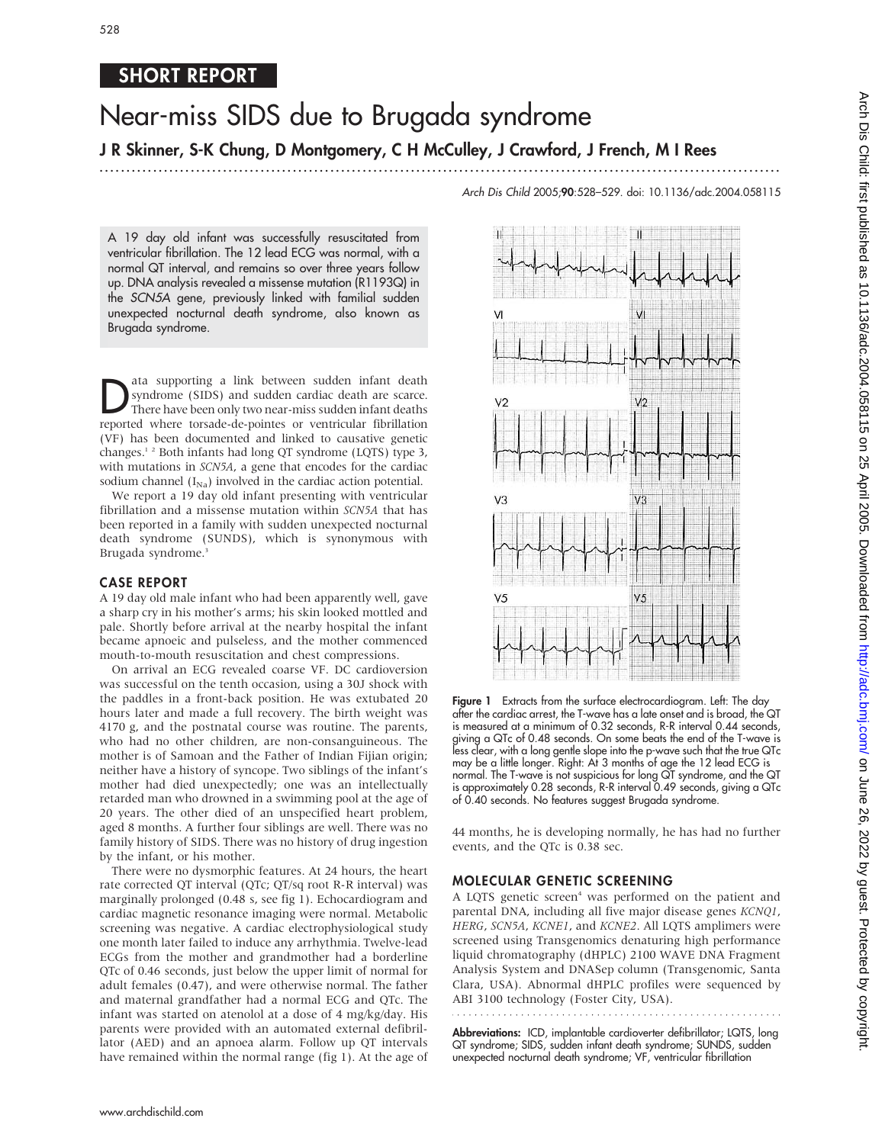## SHORT REPORT

# Near-miss SIDS due to Brugada syndrome J R Skinner, S-K Chung, D Montgomery, C H McCulley, J Crawford, J French, M I Rees

Arch Dis Child 2005;90:528–529. doi: 10.1136/adc.2004.058115

A 19 day old infant was successfully resuscitated from ventricular fibrillation. The 12 lead ECG was normal, with a normal QT interval, and remains so over three years follow up. DNA analysis revealed a missense mutation (R1193Q) in the SCN5A gene, previously linked with familial sudden unexpected nocturnal death syndrome, also known as Brugada syndrome.

...............................................................................................................................

ata supporting a link between sudden infant death<br>syndrome (SIDS) and sudden cardiac death are scarce.<br>There have been only two near-miss sudden infant deaths<br>reported where torsade de pointee or ventricular fibrillation syndrome (SIDS) and sudden cardiac death are scarce. There have been only two near-miss sudden infant deaths reported where torsade-de-pointes or ventricular fibrillation (VF) has been documented and linked to causative genetic changes.1 2 Both infants had long QT syndrome (LQTS) type 3, with mutations in SCN5A, a gene that encodes for the cardiac sodium channel  $(I_{Na})$  involved in the cardiac action potential.

We report a 19 day old infant presenting with ventricular fibrillation and a missense mutation within SCN5A that has been reported in a family with sudden unexpected nocturnal death syndrome (SUNDS), which is synonymous with Brugada syndrome.<sup>3</sup>

#### CASE REPORT

A 19 day old male infant who had been apparently well, gave a sharp cry in his mother's arms; his skin looked mottled and pale. Shortly before arrival at the nearby hospital the infant became apnoeic and pulseless, and the mother commenced mouth-to-mouth resuscitation and chest compressions.

On arrival an ECG revealed coarse VF. DC cardioversion was successful on the tenth occasion, using a 30J shock with the paddles in a front-back position. He was extubated 20 hours later and made a full recovery. The birth weight was 4170 g, and the postnatal course was routine. The parents, who had no other children, are non-consanguineous. The mother is of Samoan and the Father of Indian Fijian origin; neither have a history of syncope. Two siblings of the infant's mother had died unexpectedly; one was an intellectually retarded man who drowned in a swimming pool at the age of 20 years. The other died of an unspecified heart problem, aged 8 months. A further four siblings are well. There was no family history of SIDS. There was no history of drug ingestion by the infant, or his mother.

There were no dysmorphic features. At 24 hours, the heart rate corrected QT interval (QTc; QT/sq root R-R interval) was marginally prolonged (0.48 s, see fig 1). Echocardiogram and cardiac magnetic resonance imaging were normal. Metabolic screening was negative. A cardiac electrophysiological study one month later failed to induce any arrhythmia. Twelve-lead ECGs from the mother and grandmother had a borderline QTc of 0.46 seconds, just below the upper limit of normal for adult females (0.47), and were otherwise normal. The father and maternal grandfather had a normal ECG and QTc. The infant was started on atenolol at a dose of 4 mg/kg/day. His parents were provided with an automated external defibrillator (AED) and an apnoea alarm. Follow up QT intervals have remained within the normal range (fig 1). At the age of

 $V<sub>3</sub>$ Figure 1 Extracts from the surface electrocardiogram. Left: The day after the cardiac arrest, the T-wave has a late onset and is broad, the QT is measured at a minimum of 0.32 seconds, R-R interval 0.44 seconds, giving a QTc of 0.48 seconds. On some beats the end of the T-wave is less clear, with a long gentle slope into the p-wave such that the true QTc may be a little longer. Right: At 3 months of age the 12 lead ECG is normal. The T-wave is not suspicious for long QT syndrome, and the QT

44 months, he is developing normally, he has had no further events, and the QTc is 0.38 sec.

is approximately 0.28 seconds, R-R interval 0.49 seconds, giving a QTc

of 0.40 seconds. No features suggest Brugada syndrome.

#### MOLECULAR GENETIC SCREENING

A LQTS genetic screen<sup>4</sup> was performed on the patient and parental DNA, including all five major disease genes KCNQ1, HERG, SCN5A, KCNE1, and KCNE2. All LQTS amplimers were screened using Transgenomics denaturing high performance liquid chromatography (dHPLC) 2100 WAVE DNA Fragment Analysis System and DNASep column (Transgenomic, Santa Clara, USA). Abnormal dHPLC profiles were sequenced by ABI 3100 technology (Foster City, USA).

Abbreviations: ICD, implantable cardioverter defibrillator; LQTS, long QT syndrome; SIDS, sudden infant death syndrome; SUNDS, sudden unexpected nocturnal death syndrome; VF, ventricular fibrillation